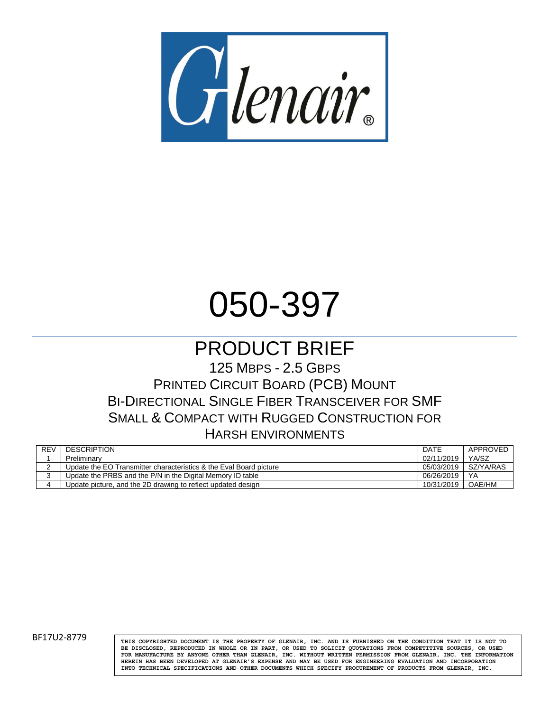

# 050-397

## PRODUCT BRIEF

125 MBPS - 2.5 GBPS PRINTED CIRCUIT BOARD (PCB) MOUNT BI-DIRECTIONAL SINGLE FIBER TRANSCEIVER FOR SMF SMALL & COMPACT WITH RUGGED CONSTRUCTION FOR HARSH ENVIRONMENTS

| <b>REV</b> | <b>DESCRIPTION</b>                                                 | DATE       | APPROVED  |
|------------|--------------------------------------------------------------------|------------|-----------|
|            | Preliminary                                                        | 02/11/2019 | YA/SZ     |
|            | Update the EO Transmitter characteristics & the Eval Board picture | 05/03/2019 | SZ/YA/RAS |
|            | Update the PRBS and the P/N in the Digital Memory ID table         | 06/26/2019 | YA        |
|            | Update picture, and the 2D drawing to reflect updated design       | 10/31/2019 | OAE/HM    |

BF17U2-8779 **THIS COPYRIGHTED DOCUMENT IS THE PROPERTY OF GLENAIR**, INC. AND IS FURNISHED ON THE CONDITION THAT IT IS NOT TO **BE DISCLOSED, REPRODUCED IN WHOLE OR IN PART, OR USED TO SOLICIT QUOTATIONS FROM COMPETITIVE SOURCES, OR USED FOR MANUFACTURE BY ANYONE OTHER THAN GLENAIR, INC. WITHOUT WRITTEN PERMISSION FROM GLENAIR, INC. THE INFORMATION HEREIN HAS BEEN DEVELOPED AT GLENAIR'S EXPENSE AND MAY BE USED FOR ENGINEERING EVALUATION AND INCORPORATION INTO TECHNICAL SPECIFICATIONS AND OTHER DOCUMENTS WHICH SPECIFY PROCUREMENT OF PRODUCTS FROM GLENAIR, INC.**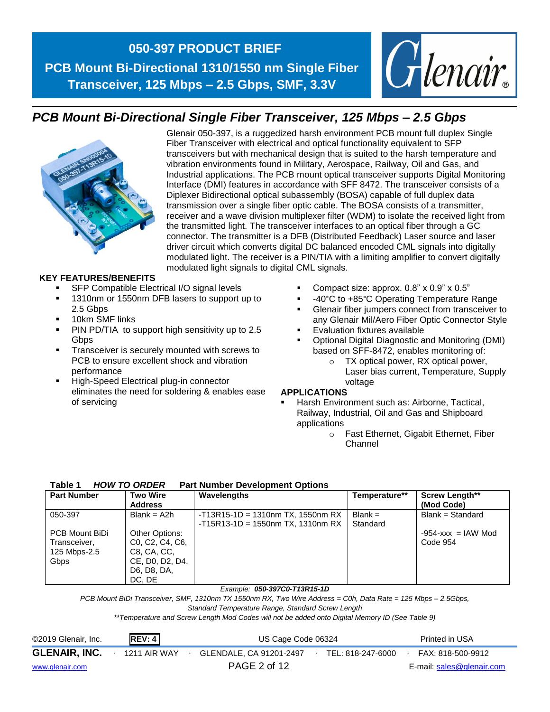

## *PCB Mount Bi-Directional Single Fiber Transceiver, 125 Mbps – 2.5 Gbps*



Glenair 050-397, is a ruggedized harsh environment PCB mount full duplex Single Fiber Transceiver with electrical and optical functionality equivalent to SFP transceivers but with mechanical design that is suited to the harsh temperature and vibration environments found in Military, Aerospace, Railway, Oil and Gas, and Industrial applications. The PCB mount optical transceiver supports Digital Monitoring Interface (DMI) features in accordance with SFF 8472. The transceiver consists of a Diplexer Bidirectional optical subassembly (BOSA) capable of full duplex data transmission over a single fiber optic cable. The BOSA consists of a transmitter, receiver and a wave division multiplexer filter (WDM) to isolate the received light from the transmitted light. The transceiver interfaces to an optical fiber through a GC connector. The transmitter is a DFB (Distributed Feedback) Laser source and laser driver circuit which converts digital DC balanced encoded CML signals into digitally modulated light. The receiver is a PIN/TIA with a limiting amplifier to convert digitally modulated light signals to digital CML signals.

#### **KEY FEATURES/BENEFITS**

- SFP Compatible Electrical I/O signal levels
- 1310nm or 1550nm DFB lasers to support up to 2.5 Gbps
- 10km SMF links
- PIN PD/TIA to support high sensitivity up to 2.5 **Gbps**
- Transceiver is securely mounted with screws to PCB to ensure excellent shock and vibration performance
- High-Speed Electrical plug-in connector eliminates the need for soldering & enables ease of servicing
- **•** Compact size: approx.  $0.8$ " x  $0.9$ " x  $0.5$ "
- -40°C to +85°C Operating Temperature Range
- Glenair fiber jumpers connect from transceiver to any Glenair Mil/Aero Fiber Optic Connector Style
- **Evaluation fixtures available**
- Optional Digital Diagnostic and Monitoring (DMI) based on SFF-8472, enables monitoring of:
	- o TX optical power, RX optical power, Laser bias current, Temperature, Supply voltage

#### **APPLICATIONS**

- Harsh Environment such as: Airborne, Tactical, Railway, Industrial, Oil and Gas and Shipboard applications
	- o Fast Ethernet, Gigabit Ethernet, Fiber Channel

#### **Table 1** *HOW TO ORDER* **Part Number Development Options**

| <b>Part Number</b>                                     | <b>Two Wire</b><br><b>Address</b>                                                                                                                | Wavelengths                                                                 | Temperature**         | <b>Screw Length**</b><br>(Mod Code) |
|--------------------------------------------------------|--------------------------------------------------------------------------------------------------------------------------------------------------|-----------------------------------------------------------------------------|-----------------------|-------------------------------------|
| 050-397                                                | $Blank = A2h$                                                                                                                                    | $-T13R15-1D = 1310nm TX, 1550nm RX$<br>$-T15R13-1D = 1550nm TX$ , 1310nm RX | $Blank =$<br>Standard | $Blank = Standard$                  |
| PCB Mount BiDi<br>Transceiver,<br>125 Mbps-2.5<br>Gbps | Other Options:<br>C <sub>0</sub> , C <sub>2</sub> , C <sub>4</sub> , C <sub>6</sub> ,<br>C8, CA, CC,<br>CE, DO, D2, D4,<br>D6, D8, DA,<br>DC. DE |                                                                             |                       | $-954 - xxx = IAW Mod$<br>Code 954  |

#### *Example: 050-397C0-T13R15-1D*

*PCB Mount BiDi Transceiver, SMF, 1310nm TX 1550nm RX, Two Wire Address = C0h, Data Rate = 125 Mbps – 2.5Gbps,* 

*Standard Temperature Range, Standard Screw Length*

*\*\*Temperature and Screw Length Mod Codes will not be added onto Digital Memory ID (See Table 9)*

| ©2019 Glenair, Inc.  | REV: 4              | US Cage Code 06324 |                         |  |                   |  | Printed in USA            |
|----------------------|---------------------|--------------------|-------------------------|--|-------------------|--|---------------------------|
| <b>GLENAIR, INC.</b> | <b>1211 AIR WAY</b> |                    | GLENDALE, CA 91201-2497 |  | TEL: 818-247-6000 |  | FAX: 818-500-9912         |
| www.glenair.com      |                     |                    | PAGE 2 of 12            |  |                   |  | E-mail: sales@glenair.com |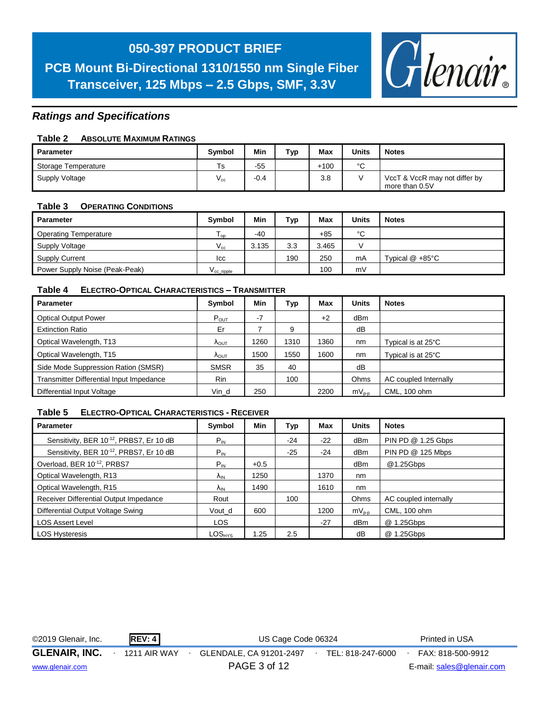## **050-397 PRODUCT BRIEF**

**PCB Mount Bi-Directional 1310/1550 nm Single Fiber Transceiver, 125 Mbps – 2.5 Gbps, SMF, 3.3V**



#### *Ratings and Specifications*

#### **Table 2 ABSOLUTE MAXIMUM RATINGS**

| Parameter           | <b>Symbol</b> | Min    | тур | Max    | <b>Units</b> | <b>Notes</b>                                    |
|---------------------|---------------|--------|-----|--------|--------------|-------------------------------------------------|
| Storage Temperature | Ts            | $-55$  |     | $+100$ | $\sim$       |                                                 |
| Supply Voltage      | $V_{\rm cc}$  | $-0.4$ |     | 3.8    |              | VccT & VccR may not differ by<br>more than 0.5V |

#### **Table 3 OPERATING CONDITIONS**

| Parameter                      | <b>Symbol</b>         | Min   | Тур | Max   | Units | <b>Notes</b>              |
|--------------------------------|-----------------------|-------|-----|-------|-------|---------------------------|
| <b>Operating Temperature</b>   | l op                  | $-40$ |     | $+85$ | °C    |                           |
| Supply Voltage                 | $V_{cc}$              | 3.135 | 3.3 | 3.465 |       |                           |
| <b>Supply Current</b>          | lcc.                  |       | 190 | 250   | mA    | Typical $@ + 85^{\circ}C$ |
| Power Supply Noise (Peak-Peak) | V <sub>ccripple</sub> |       |     | 100   | mV    |                           |

#### **Table 4 ELECTRO-OPTICAL CHARACTERISTICS – TRANSMITTER**

| <b>Parameter</b>                         | Symbol                 | Min  | Тур  | Max  | <b>Units</b> | <b>Notes</b>          |
|------------------------------------------|------------------------|------|------|------|--------------|-----------------------|
| <b>Optical Output Power</b>              | $P_{OUT}$              | $-7$ |      | $+2$ | dBm          |                       |
| <b>Extinction Ratio</b>                  | Er                     |      | 9    |      | dB           |                       |
| Optical Wavelength, T13                  | <b>A</b> OUT           | 1260 | 1310 | 1360 | nm           | Typical is at 25°C    |
| Optical Wavelength, T15                  | $\Lambda_{\text{OUT}}$ | 1500 | 1550 | 1600 | nm           | Typical is at 25°C    |
| Side Mode Suppression Ration (SMSR)      | <b>SMSR</b>            | 35   | 40   |      | dB           |                       |
| Transmitter Differential Input Impedance | <b>Rin</b>             |      | 100  |      | Ohms         | AC coupled Internally |
| Differential Input Voltage               | Vin d                  | 250  |      | 2200 | $mV_{p-p}$   | CML, 100 ohm          |

#### **Table 5 ELECTRO-OPTICAL CHARACTERISTICS - RECEIVER**

| <b>Parameter</b>                        | Symbol                 | Min    | Typ   | Max   | <b>Units</b>    | <b>Notes</b>          |
|-----------------------------------------|------------------------|--------|-------|-------|-----------------|-----------------------|
| Sensitivity, BER 10-12, PRBS7, Er 10 dB | $P_{IN}$               |        | $-24$ | $-22$ | dB <sub>m</sub> | PIN PD @ 1.25 Gbps    |
| Sensitivity, BER 10-12, PRBS7, Er 10 dB | $P_{IN}$               |        | $-25$ | $-24$ | dB <sub>m</sub> | PIN PD @ 125 Mbps     |
| Overload, BER 10-12, PRBS7              | $P_{IN}$               | $+0.5$ |       |       | dBm             | @1.25Gbps             |
| Optical Wavelength, R13                 | $\Lambda_{IN}$         | 1250   |       | 1370  | nm              |                       |
| Optical Wavelength, R15                 | <b>A</b> <sub>IN</sub> | 1490   |       | 1610  | nm              |                       |
| Receiver Differential Output Impedance  | Rout                   |        | 100   |       | Ohms            | AC coupled internally |
| Differential Output Voltage Swing       | Vout d                 | 600    |       | 1200  | $mV_{p-p}$      | CML, 100 ohm          |
| <b>LOS Assert Level</b>                 | <b>LOS</b>             |        |       | $-27$ | dB <sub>m</sub> | @ 1.25Gbps            |
| <b>LOS Hysteresis</b>                   | $LOS_{HYS}$            | 1.25   | 2.5   |       | dB              | @ 1.25Gbps            |

| ©2019 Glenair, Inc.  | <b>REV: 4</b>       | US Cage Code 06324                           | Printed in USA            |
|----------------------|---------------------|----------------------------------------------|---------------------------|
| <b>GLENAIR, INC.</b> | <b>1211 AIR WAY</b> | GLENDALE, CA 91201-2497<br>TEL: 818-247-6000 | FAX: 818-500-9912         |
| www.glenair.com      |                     | PAGE 3 of 12                                 | E-mail: sales@glenair.com |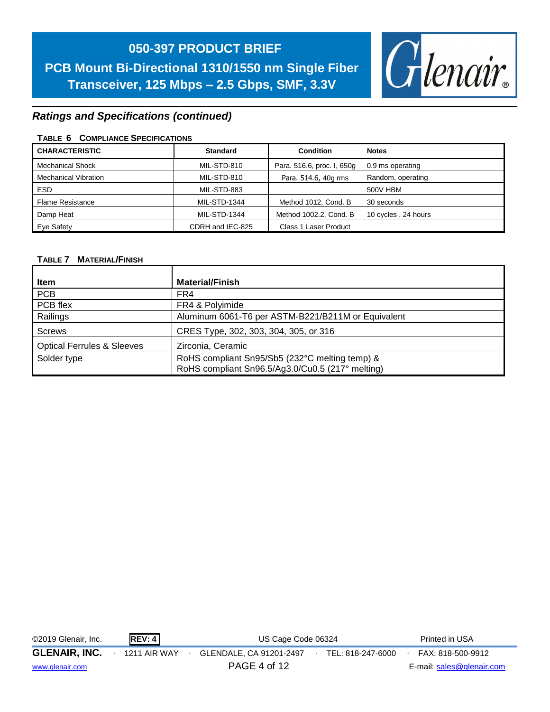

#### *Ratings and Specifications (continued)*

#### **TABLE 6 COMPLIANCE SPECIFICATIONS**

| <b>CHARACTERISTIC</b>       | <b>Standard</b><br><b>Condition</b> |                            | <b>Notes</b>        |
|-----------------------------|-------------------------------------|----------------------------|---------------------|
| <b>Mechanical Shock</b>     | MIL-STD-810                         | Para. 516.6, proc. I, 650g | 0.9 ms operating    |
| <b>Mechanical Vibration</b> | MIL-STD-810                         | Para. 514.6, 40g rms       | Random, operating   |
| ESD.                        | MIL-STD-883                         |                            | 500V HBM            |
| <b>Flame Resistance</b>     | MIL-STD-1344                        | Method 1012, Cond. B       | 30 seconds          |
| Damp Heat                   | <b>MIL-STD-1344</b>                 | Method 1002.2, Cond. B     | 10 cycles, 24 hours |
| Eye Safety                  | CDRH and IEC-825                    | Class 1 Laser Product      |                     |

#### **TABLE 7 MATERIAL/FINISH**

| Item                                  | <b>Material/Finish</b>                             |
|---------------------------------------|----------------------------------------------------|
| PCB                                   | FR4                                                |
| PCB flex                              | FR4 & Polyimide                                    |
| Railings                              | Aluminum 6061-T6 per ASTM-B221/B211M or Equivalent |
| <b>Screws</b>                         | CRES Type, 302, 303, 304, 305, or 316              |
| <b>Optical Ferrules &amp; Sleeves</b> | Zirconia, Ceramic                                  |
| Solder type                           | RoHS compliant Sn95/Sb5 (232°C melting temp) &     |
|                                       | RoHS compliant Sn96.5/Ag3.0/Cu0.5 (217° melting)   |

| ©2019 Glenair, Inc.  | REV: 4              | US Cage Code 06324      |                   | Printed in USA            |
|----------------------|---------------------|-------------------------|-------------------|---------------------------|
| <b>GLENAIR, INC.</b> | <b>1211 AIR WAY</b> | GLENDALE, CA 91201-2497 | TEL: 818-247-6000 | FAX: 818-500-9912         |
| www.glenair.com      |                     | PAGE 4 of 12            |                   | E-mail: sales@glenair.com |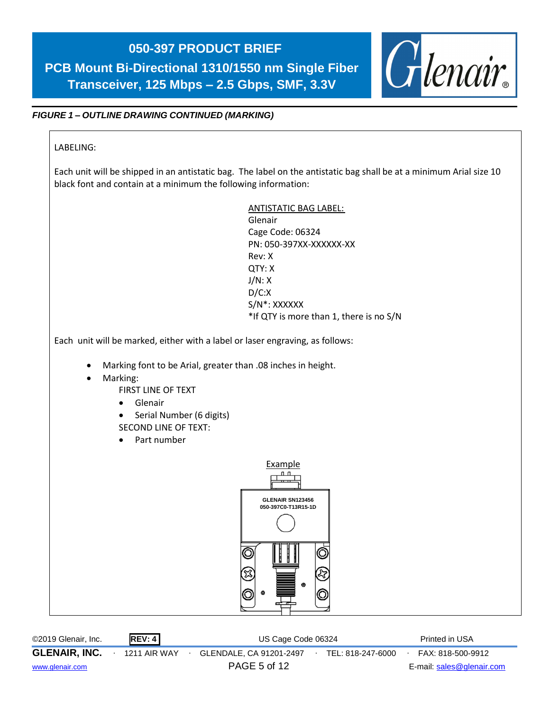## **050-397 PRODUCT BRIEF** Glenair. **PCB Mount Bi-Directional 1310/1550 nm Single Fiber Transceiver, 125 Mbps – 2.5 Gbps, SMF, 3.3V** *FIGURE 1 – OUTLINE DRAWING CONTINUED (MARKING)* LABELING: Each unit will be shipped in an antistatic bag. The label on the antistatic bag shall be at a minimum Arial size 10 black font and contain at a minimum the following information: ANTISTATIC BAG LABEL: Glenair Cage Code: 06324 PN: 050-397XX-XXXXXX-XX Rev: X QTY: X J/N: X D/C:X S/N\*: XXXXXX \*If QTY is more than 1, there is no S/N Each unit will be marked, either with a label or laser engraving, as follows: • Marking font to be Arial, greater than .08 inches in height. Marking: FIRST LINE OF TEXT • Glenair • Serial Number (6 digits) SECOND LINE OF TEXT: • Part number Example **GLENAIR SN123456 050-397C0-T13R15-1D**

| ©2019 Glenair, Inc.  |  | REV: 4       | US Cage Code 06324      | Printed in USA    |                           |  |
|----------------------|--|--------------|-------------------------|-------------------|---------------------------|--|
| <b>GLENAIR, INC.</b> |  | 1211 AIR WAY | GLENDALE, CA 91201-2497 | TEL: 818-247-6000 | FAX: 818-500-9912         |  |
| www.glenair.com      |  |              | <b>PAGE 5 of 12</b>     |                   | E-mail: sales@glenair.com |  |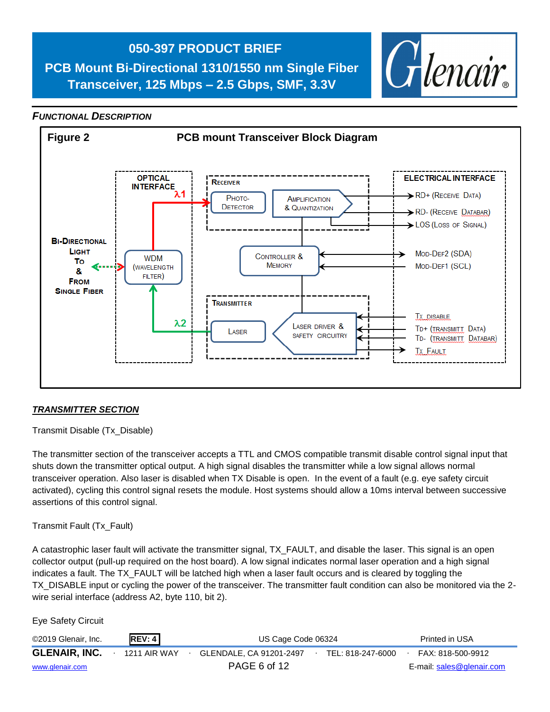

#### *FUNCTIONAL DESCRIPTION*



#### *TRANSMITTER SECTION*

Transmit Disable (Tx\_Disable)

The transmitter section of the transceiver accepts a TTL and CMOS compatible transmit disable control signal input that shuts down the transmitter optical output. A high signal disables the transmitter while a low signal allows normal transceiver operation. Also laser is disabled when TX Disable is open. In the event of a fault (e.g. eye safety circuit activated), cycling this control signal resets the module. Host systems should allow a 10ms interval between successive assertions of this control signal.

Transmit Fault (Tx\_Fault)

A catastrophic laser fault will activate the transmitter signal, TX\_FAULT, and disable the laser. This signal is an open collector output (pull-up required on the host board). A low signal indicates normal laser operation and a high signal indicates a fault. The TX\_FAULT will be latched high when a laser fault occurs and is cleared by toggling the TX\_DISABLE input or cycling the power of the transceiver. The transmitter fault condition can also be monitored via the 2 wire serial interface (address A2, byte 110, bit 2).

©2019 Glenair, Inc. **REV: 4** US Cage Code 06324 Printed in USA **GLENAIR, INC.** ∙ 1211 AIR WAY ∙ GLENDALE, CA 91201-2497∙ TEL: 818-247-6000∙ FAX: 818-500-9912 [www.glenair.com](http://www.glenair.com/) PAGE 6 of 12 E-mail: [sales@glenair.com](mailto:sales@glenair.com) Eye Safety Circuit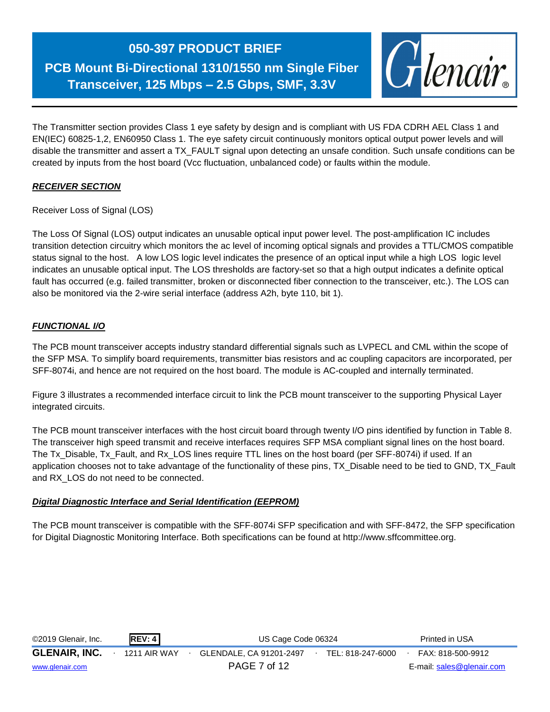### **050-397 PRODUCT BRIEF**

**PCB Mount Bi-Directional 1310/1550 nm Single Fiber Transceiver, 125 Mbps – 2.5 Gbps, SMF, 3.3V**



The Transmitter section provides Class 1 eye safety by design and is compliant with US FDA CDRH AEL Class 1 and EN(IEC) 60825-1,2, EN60950 Class 1. The eye safety circuit continuously monitors optical output power levels and will disable the transmitter and assert a TX\_FAULT signal upon detecting an unsafe condition. Such unsafe conditions can be created by inputs from the host board (Vcc fluctuation, unbalanced code) or faults within the module.

#### *RECEIVER SECTION*

Receiver Loss of Signal (LOS)

The Loss Of Signal (LOS) output indicates an unusable optical input power level. The post-amplification IC includes transition detection circuitry which monitors the ac level of incoming optical signals and provides a TTL/CMOS compatible status signal to the host. A low LOS logic level indicates the presence of an optical input while a high LOS logic level indicates an unusable optical input. The LOS thresholds are factory-set so that a high output indicates a definite optical fault has occurred (e.g. failed transmitter, broken or disconnected fiber connection to the transceiver, etc.). The LOS can also be monitored via the 2-wire serial interface (address A2h, byte 110, bit 1).

#### *FUNCTIONAL I/O*

The PCB mount transceiver accepts industry standard differential signals such as LVPECL and CML within the scope of the SFP MSA. To simplify board requirements, transmitter bias resistors and ac coupling capacitors are incorporated, per SFF-8074i, and hence are not required on the host board. The module is AC-coupled and internally terminated.

Figure 3 illustrates a recommended interface circuit to link the PCB mount transceiver to the supporting Physical Layer integrated circuits.

The PCB mount transceiver interfaces with the host circuit board through twenty I/O pins identified by function in Table 8. The transceiver high speed transmit and receive interfaces requires SFP MSA compliant signal lines on the host board. The Tx\_Disable, Tx\_Fault, and Rx\_LOS lines require TTL lines on the host board (per SFF-8074i) if used. If an application chooses not to take advantage of the functionality of these pins, TX\_Disable need to be tied to GND, TX\_Fault and RX\_LOS do not need to be connected.

#### *Digital Diagnostic Interface and Serial Identification (EEPROM)*

The PCB mount transceiver is compatible with the SFF-8074i SFP specification and with SFF-8472, the SFP specification for Digital Diagnostic Monitoring Interface. Both specifications can be found at http://www.sffcommittee.org.

| ©2019 Glenair, Inc.  | <b>REV: 4</b> | US Cage Code 06324      |  |                   |  | Printed in USA            |
|----------------------|---------------|-------------------------|--|-------------------|--|---------------------------|
| <b>GLENAIR, INC.</b> | 1211 AIR WAY  | GLENDALE. CA 91201-2497 |  | TEL: 818-247-6000 |  | FAX: 818-500-9912         |
| www.glenair.com      |               | PAGE 7 of 12            |  |                   |  | E-mail: sales@glenair.com |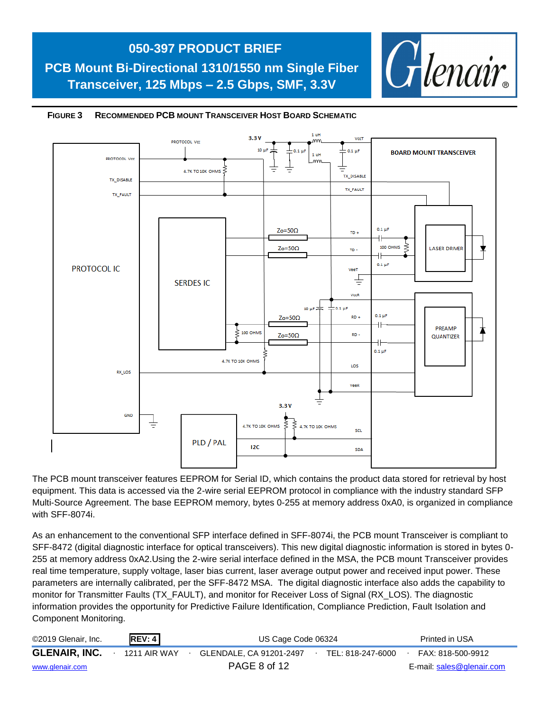



#### **FIGURE 3 RECOMMENDED PCB MOUNT TRANSCEIVER HOST BOARD SCHEMATIC**

The PCB mount transceiver features EEPROM for Serial ID, which contains the product data stored for retrieval by host equipment. This data is accessed via the 2-wire serial EEPROM protocol in compliance with the industry standard SFP Multi-Source Agreement. The base EEPROM memory, bytes 0-255 at memory address 0xA0, is organized in compliance with SFF-8074i.

As an enhancement to the conventional SFP interface defined in SFF-8074i, the PCB mount Transceiver is compliant to SFF-8472 (digital diagnostic interface for optical transceivers). This new digital diagnostic information is stored in bytes 0- 255 at memory address 0xA2.Using the 2-wire serial interface defined in the MSA, the PCB mount Transceiver provides real time temperature, supply voltage, laser bias current, laser average output power and received input power. These parameters are internally calibrated, per the SFF-8472 MSA. The digital diagnostic interface also adds the capability to monitor for Transmitter Faults (TX\_FAULT), and monitor for Receiver Loss of Signal (RX\_LOS). The diagnostic information provides the opportunity for Predictive Failure Identification, Compliance Prediction, Fault Isolation and Component Monitoring.

| ©2019 Glenair, Inc.  | REV: 4       | US Cage Code 06324      |  |                   |  | Printed in USA            |
|----------------------|--------------|-------------------------|--|-------------------|--|---------------------------|
| <b>GLENAIR, INC.</b> | 1211 AIR WAY | GLENDALE, CA 91201-2497 |  | TEL: 818-247-6000 |  | FAX: 818-500-9912         |
| www.glenair.com      |              | PAGE 8 of 12            |  |                   |  | E-mail: sales@glenair.com |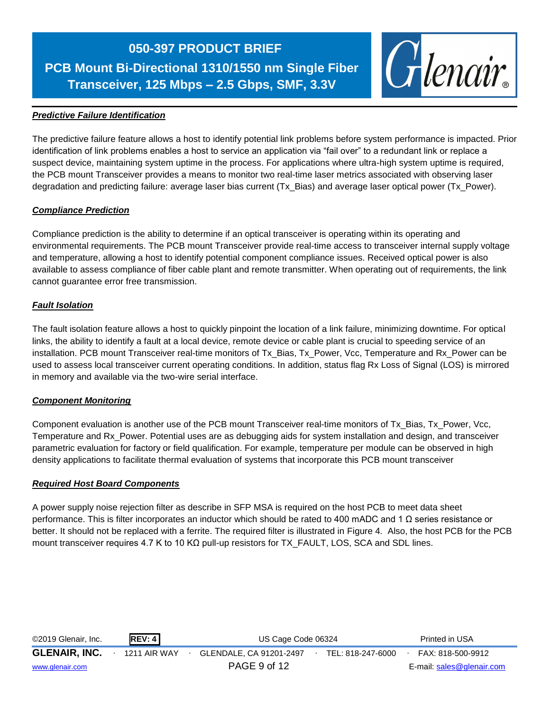

#### *Predictive Failure Identification*

The predictive failure feature allows a host to identify potential link problems before system performance is impacted. Prior identification of link problems enables a host to service an application via "fail over" to a redundant link or replace a suspect device, maintaining system uptime in the process. For applications where ultra-high system uptime is required, the PCB mount Transceiver provides a means to monitor two real-time laser metrics associated with observing laser degradation and predicting failure: average laser bias current (Tx\_Bias) and average laser optical power (Tx\_Power).

#### *Compliance Prediction*

Compliance prediction is the ability to determine if an optical transceiver is operating within its operating and environmental requirements. The PCB mount Transceiver provide real-time access to transceiver internal supply voltage and temperature, allowing a host to identify potential component compliance issues. Received optical power is also available to assess compliance of fiber cable plant and remote transmitter. When operating out of requirements, the link cannot guarantee error free transmission.

#### *Fault Isolation*

The fault isolation feature allows a host to quickly pinpoint the location of a link failure, minimizing downtime. For optical links, the ability to identify a fault at a local device, remote device or cable plant is crucial to speeding service of an installation. PCB mount Transceiver real-time monitors of Tx\_Bias, Tx\_Power, Vcc, Temperature and Rx\_Power can be used to assess local transceiver current operating conditions. In addition, status flag Rx Loss of Signal (LOS) is mirrored in memory and available via the two-wire serial interface.

#### *Component Monitoring*

Component evaluation is another use of the PCB mount Transceiver real-time monitors of Tx\_Bias, Tx\_Power, Vcc, Temperature and Rx\_Power. Potential uses are as debugging aids for system installation and design, and transceiver parametric evaluation for factory or field qualification. For example, temperature per module can be observed in high density applications to facilitate thermal evaluation of systems that incorporate this PCB mount transceiver

#### *Required Host Board Components*

A power supply noise rejection filter as describe in SFP MSA is required on the host PCB to meet data sheet performance. This is filter incorporates an inductor which should be rated to 400 mADC and 1 Ω series resistance or better. It should not be replaced with a ferrite. The required filter is illustrated in Figure 4. Also, the host PCB for the PCB mount transceiver requires 4.7 K to 10 KΩ pull-up resistors for TX\_FAULT, LOS, SCA and SDL lines.

| ©2019 Glenair, Inc.  | <b>REV: 4</b> | US Cage Code 06324      |  |                   | Printed in USA            |
|----------------------|---------------|-------------------------|--|-------------------|---------------------------|
| <b>GLENAIR, INC.</b> | 1211 AIR WAY  | GLENDALE. CA 91201-2497 |  | TEL: 818-247-6000 | FAX: 818-500-9912         |
| www.glenair.com      |               | PAGE 9 of 12            |  |                   | E-mail: sales@glenair.com |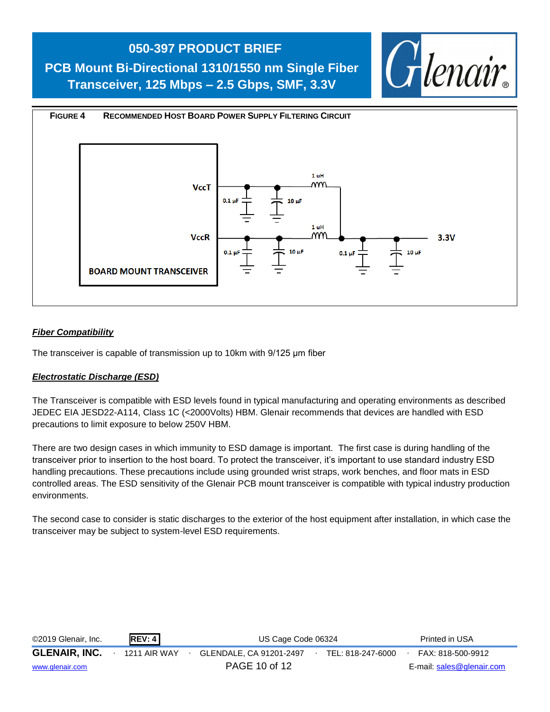#### **050-397 PRODUCT BRIEF**

**PCB Mount Bi-Directional 1310/1550 nm Single Fiber Transceiver, 125 Mbps – 2.5 Gbps, SMF, 3.3V**





#### *Fiber Compatibility*

The transceiver is capable of transmission up to 10km with 9/125 μm fiber

#### *Electrostatic Discharge (ESD)*

The Transceiver is compatible with ESD levels found in typical manufacturing and operating environments as described JEDEC EIA JESD22-A114, Class 1C (<2000Volts) HBM. Glenair recommends that devices are handled with ESD precautions to limit exposure to below 250V HBM.

There are two design cases in which immunity to ESD damage is important. The first case is during handling of the transceiver prior to insertion to the host board. To protect the transceiver, it's important to use standard industry ESD handling precautions. These precautions include using grounded wrist straps, work benches, and floor mats in ESD controlled areas. The ESD sensitivity of the Glenair PCB mount transceiver is compatible with typical industry production environments.

The second case to consider is static discharges to the exterior of the host equipment after installation, in which case the transceiver may be subject to system-level ESD requirements.

| ©2019 Glenair, Inc.  | REV: 4       | US Cage Code 06324      |  |                   |  | Printed in USA            |
|----------------------|--------------|-------------------------|--|-------------------|--|---------------------------|
| <b>GLENAIR, INC.</b> | 1211 AIR WAY | GLENDALE, CA 91201-2497 |  | TEL: 818-247-6000 |  | FAX: 818-500-9912         |
| www.glenair.com      |              | PAGE 10 of 12           |  |                   |  | E-mail: sales@glenair.com |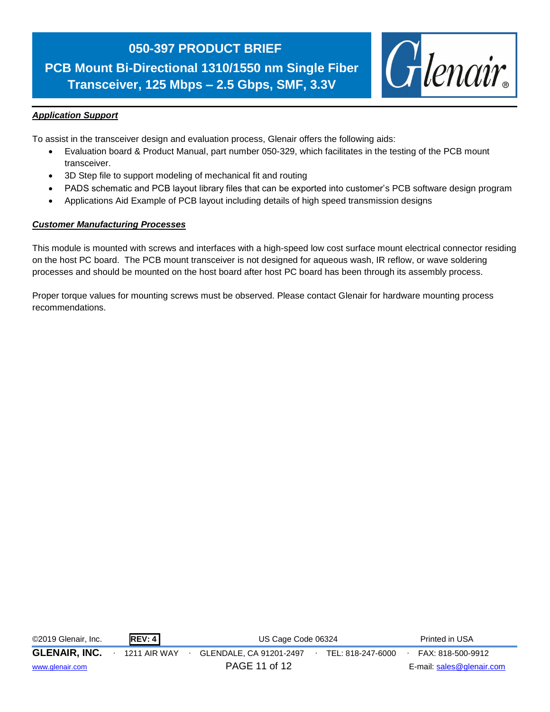

#### *Application Support*

To assist in the transceiver design and evaluation process, Glenair offers the following aids:

- Evaluation board & Product Manual, part number 050-329, which facilitates in the testing of the PCB mount transceiver.
- 3D Step file to support modeling of mechanical fit and routing
- PADS schematic and PCB layout library files that can be exported into customer's PCB software design program
- Applications Aid Example of PCB layout including details of high speed transmission designs

#### *Customer Manufacturing Processes*

This module is mounted with screws and interfaces with a high-speed low cost surface mount electrical connector residing on the host PC board. The PCB mount transceiver is not designed for aqueous wash, IR reflow, or wave soldering processes and should be mounted on the host board after host PC board has been through its assembly process.

Proper torque values for mounting screws must be observed. Please contact Glenair for hardware mounting process recommendations.

| ©2019 Glenair, Inc.  | REV: 4              | US Cage Code 06324                           | Printed in USA            |
|----------------------|---------------------|----------------------------------------------|---------------------------|
| <b>GLENAIR, INC.</b> | <b>1211 AIR WAY</b> | GLENDALE, CA 91201-2497<br>TEL: 818-247-6000 | FAX: 818-500-9912         |
| www.glenair.com      |                     | PAGE 11 of 12                                | E-mail: sales@glenair.com |